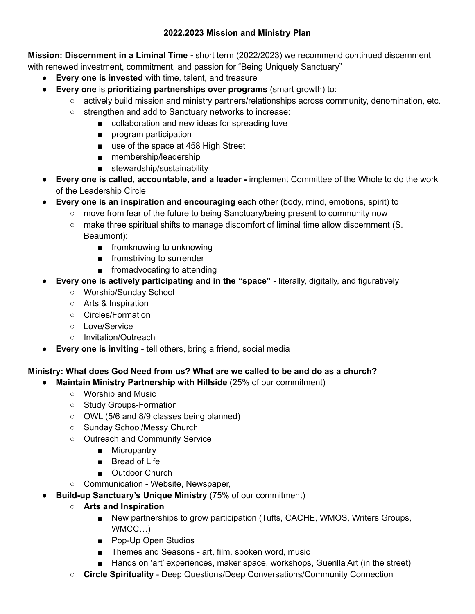**Mission: Discernment in a Liminal Time -** short term (2022/2023) we recommend continued discernment with renewed investment, commitment, and passion for "Being Uniquely Sanctuary"

- **Every one is invested** with time, talent, and treasure
- **Every one** is **prioritizing partnerships over programs** (smart growth) to:
	- actively build mission and ministry partners/relationships across community, denomination, etc.
	- strengthen and add to Sanctuary networks to increase:
		- collaboration and new ideas for spreading love
			- program participation
			- use of the space at 458 High Street
			- membership/leadership
			- stewardship/sustainability
- **Every one is called, accountable, and a leader -** implement Committee of the Whole to do the work of the Leadership Circle
- **Every one is an inspiration and encouraging** each other (body, mind, emotions, spirit) to
	- move from fear of the future to being Sanctuary/being present to community now
	- make three spiritual shifts to manage discomfort of liminal time allow discernment (S. Beaumont):
		- fromknowing to unknowing
		- fromstriving to surrender
		- fromadvocating to attending
- **Every one is actively participating and in the "space"** literally, digitally, and figuratively
	- Worship/Sunday School
	- Arts & Inspiration
	- Circles/Formation
	- Love/Service
	- Invitation/Outreach
- **Every one is inviting** tell others, bring a friend, social media

## **Ministry: What does God Need from us? What are we called to be and do as a church?**

- **Maintain Ministry Partnership with Hillside** (25% of our commitment)
	- Worship and Music
	- Study Groups-Formation
	- OWL (5/6 and 8/9 classes being planned)
	- Sunday School/Messy Church
	- Outreach and Community Service
		- Micropantry
		- Bread of Life
		- Outdoor Church
	- Communication Website, Newspaper,
- **Build-up Sanctuary's Unique Ministry** (75% of our commitment)
	- **○ Arts and Inspiration**
		- New partnerships to grow participation (Tufts, CACHE, WMOS, Writers Groups, WMCC…)
		- Pop-Up Open Studios
		- Themes and Seasons art, film, spoken word, music
		- Hands on 'art' experiences, maker space, workshops, Guerilla Art (in the street)
	- **Circle Spirituality** Deep Questions/Deep Conversations/Community Connection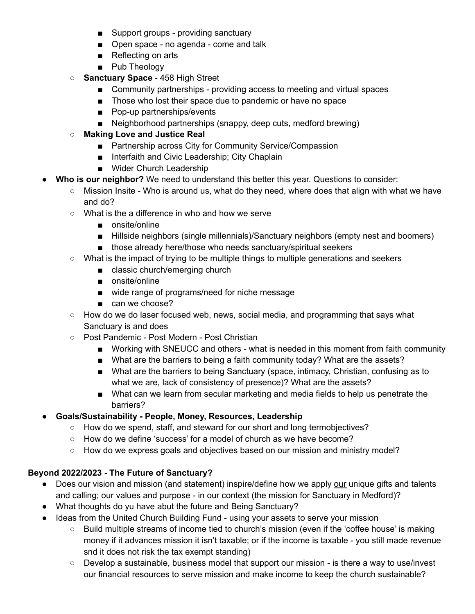- Support groups providing sanctuary
- Open space no agenda come and talk
- Reflecting on arts
- Pub Theology
- **Sanctuary Space** 458 High Street
	- Community partnerships providing access to meeting and virtual spaces
	- Those who lost their space due to pandemic or have no space
	- Pop-up partnerships/events
	- Neighborhood partnerships (snappy, deep cuts, medford brewing)
- **○ Making Love and Justice Real**
	- Partnership across City for Community Service/Compassion
	- Interfaith and Civic Leadership; City Chaplain
	- Wider Church Leadership
- **Who is our neighbor?** We need to understand this better this year. Questions to consider:
	- Mission Insite Who is around us, what do they need, where does that align with what we have and do?
	- What is the a difference in who and how we serve
		- onsite/online
		- Hillside neighbors (single millennials)/Sanctuary neighbors (empty nest and boomers)
		- those already here/those who needs sanctuary/spiritual seekers
	- What is the impact of trying to be multiple things to multiple generations and seekers
		- classic church/emerging church
		- onsite/online
		- wide range of programs/need for niche message
		- can we choose?
	- How do we do laser focused web, news, social media, and programming that says what Sanctuary is and does
	- Post Pandemic Post Modern Post Christian
		- Working with SNEUCC and others what is needed in this moment from faith community
		- What are the barriers to being a faith community today? What are the assets?
		- What are the barriers to being Sanctuary (space, intimacy, Christian, confusing as to what we are, lack of consistency of presence)? What are the assets?
		- What can we learn from secular marketing and media fields to help us penetrate the barriers?
- **● Goals/Sustainability - People, Money, Resources, Leadership**
	- How do we spend, staff, and steward for our short and long termobjectives?
	- How do we define 'success' for a model of church as we have become?
	- How do we express goals and objectives based on our mission and ministry model?

## **Beyond 2022/2023 - The Future of Sanctuary?**

- Does our vision and mission (and statement) inspire/define how we apply our unique gifts and talents and calling; our values and purpose - in our context (the mission for Sanctuary in Medford)?
- What thoughts do yu have abut the future and Being Sanctuary?
- Ideas from the United Church Building Fund using your assets to serve your mission
	- Build multiple streams of income tied to church's mission (even if the 'coffee house' is making money if it advances mission it isn't taxable; or if the income is taxable - you still made revenue snd it does not risk the tax exempt standing)
	- Develop a sustainable, business model that support our mission is there a way to use/invest our financial resources to serve mission and make income to keep the church sustainable?